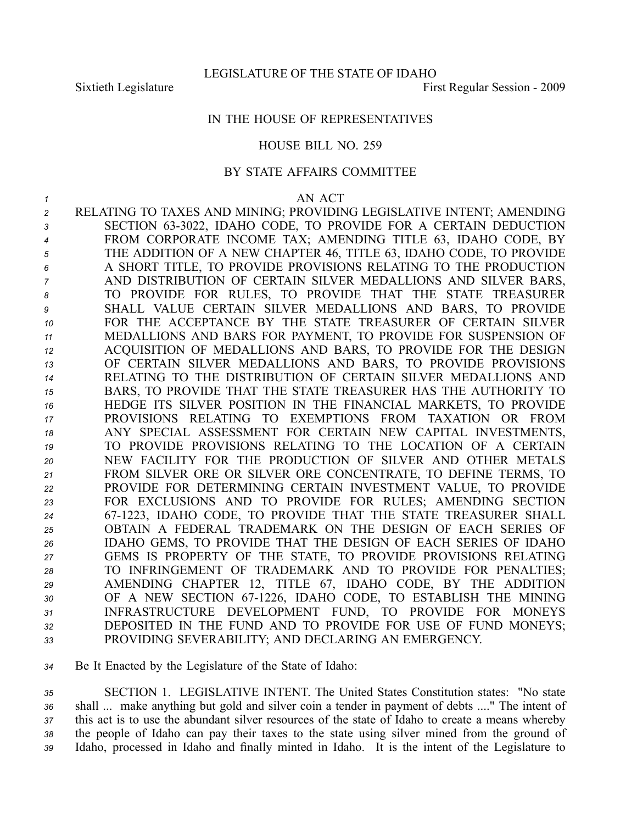# IN THE HOUSE OF REPRESENTATIVES

# HOUSE BILL NO. 259

### BY STATE AFFAIRS COMMITTEE

*1* AN ACT RELATING TO TAXES AND MINING; PROVIDING LEGISLATIVE INTENT; AMENDING SECTION 633022, IDAHO CODE, TO PROVIDE FOR A CERTAIN DEDUCTION FROM CORPORATE INCOME TAX; AMENDING TITLE 63, IDAHO CODE, BY THE ADDITION OF A NEW CHAPTER 46, TITLE 63, IDAHO CODE, TO PROVIDE A SHORT TITLE, TO PROVIDE PROVISIONS RELATING TO THE PRODUCTION AND DISTRIBUTION OF CERTAIN SILVER MEDALLIONS AND SILVER BARS, TO PROVIDE FOR RULES, TO PROVIDE THAT THE STATE TREASURER SHALL VALUE CERTAIN SILVER MEDALLIONS AND BARS, TO PROVIDE FOR THE ACCEPTANCE BY THE STATE TREASURER OF CERTAIN SILVER MEDALLIONS AND BARS FOR PAYMENT, TO PROVIDE FOR SUSPENSION OF ACQUISITION OF MEDALLIONS AND BARS, TO PROVIDE FOR THE DESIGN OF CERTAIN SILVER MEDALLIONS AND BARS, TO PROVIDE PROVISIONS RELATING TO THE DISTRIBUTION OF CERTAIN SILVER MEDALLIONS AND BARS, TO PROVIDE THAT THE STATE TREASURER HAS THE AUTHORITY TO HEDGE ITS SILVER POSITION IN THE FINANCIAL MARKETS, TO PROVIDE PROVISIONS RELATING TO EXEMPTIONS FROM TAXATION OR FROM ANY SPECIAL ASSESSMENT FOR CERTAIN NEW CAPITAL INVESTMENTS, TO PROVIDE PROVISIONS RELATING TO THE LOCATION OF A CERTAIN NEW FACILITY FOR THE PRODUCTION OF SILVER AND OTHER METALS FROM SILVER ORE OR SILVER ORE CONCENTRATE, TO DEFINE TERMS, TO PROVIDE FOR DETERMINING CERTAIN INVESTMENT VALUE, TO PROVIDE FOR EXCLUSIONS AND TO PROVIDE FOR RULES; AMENDING SECTION 671223, IDAHO CODE, TO PROVIDE THAT THE STATE TREASURER SHALL OBTAIN A FEDERAL TRADEMARK ON THE DESIGN OF EACH SERIES OF IDAHO GEMS, TO PROVIDE THAT THE DESIGN OF EACH SERIES OF IDAHO GEMS IS PROPERTY OF THE STATE, TO PROVIDE PROVISIONS RELATING TO INFRINGEMENT OF TRADEMARK AND TO PROVIDE FOR PENALTIES; AMENDING CHAPTER 12, TITLE 67, IDAHO CODE, BY THE ADDITION 30 OF A NEW SECTION 67-1226, IDAHO CODE, TO ESTABLISH THE MINING INFRASTRUCTURE DEVELOPMENT FUND, TO PROVIDE FOR MONEYS DEPOSITED IN THE FUND AND TO PROVIDE FOR USE OF FUND MONEYS; PROVIDING SEVERABILITY; AND DECLARING AN EMERGENCY.

*<sup>34</sup>* Be It Enacted by the Legislature of the State of Idaho:

 SECTION 1. LEGISLATIVE INTENT. The United States Constitution states: "No state shall ... make anything but gold and silver coin <sup>a</sup> tender in paymen<sup>t</sup> of debts ...." The intent of this act is to use the abundant silver resources of the state of Idaho to create <sup>a</sup> means whereby the people of Idaho can pay their taxes to the state using silver mined from the ground of Idaho, processed in Idaho and finally minted in Idaho. It is the intent of the Legislature to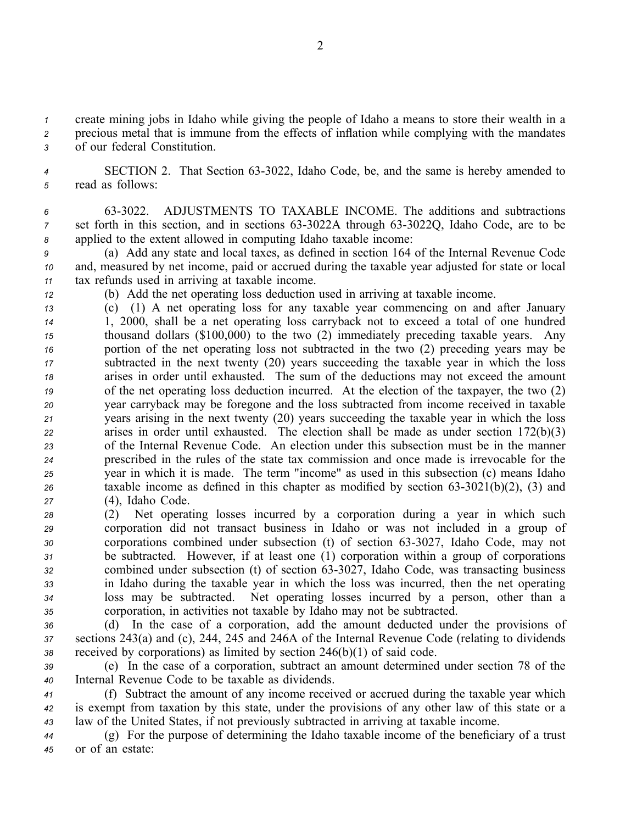*<sup>1</sup>* create mining jobs in Idaho while giving the people of Idaho <sup>a</sup> means to store their wealth in <sup>a</sup>

*<sup>2</sup>* precious metal that is immune from the effects of inflation while complying with the mandates *<sup>3</sup>* of our federal Constitution.

4 SECTION 2. That Section 63-3022, Idaho Code, be, and the same is hereby amended to *<sup>5</sup>* read as follows:

*<sup>6</sup>* 633022. ADJUSTMENTS TO TAXABLE INCOME. The additions and subtractions *7* set forth in this section, and in sections 63-3022A through 63-3022Q, Idaho Code, are to be *<sup>8</sup>* applied to the extent allowed in computing Idaho taxable income:

*<sup>9</sup>* (a) Add any state and local taxes, as defined in section 164 of the Internal Revenue Code *<sup>10</sup>* and, measured by net income, paid or accrued during the taxable year adjusted for state or local *<sup>11</sup>* tax refunds used in arriving at taxable income.

*<sup>12</sup>* (b) Add the net operating loss deduction used in arriving at taxable income.

- *<sup>13</sup>* (c) (1) A net operating loss for any taxable year commencing on and after January *<sup>14</sup>* 1, 2000, shall be <sup>a</sup> net operating loss carryback not to exceed <sup>a</sup> total of one hundred *<sup>15</sup>* thousand dollars (\$100,000) to the two (2) immediately preceding taxable years. Any *<sup>16</sup>* portion of the net operating loss not subtracted in the two (2) preceding years may be *<sup>17</sup>* subtracted in the next twenty (20) years succeeding the taxable year in which the loss *<sup>18</sup>* arises in order until exhausted. The sum of the deductions may not exceed the amount *<sup>19</sup>* of the net operating loss deduction incurred. At the election of the taxpayer, the two (2) *<sup>20</sup>* year carryback may be foregone and the loss subtracted from income received in taxable *<sup>21</sup>* years arising in the next twenty (20) years succeeding the taxable year in which the loss *<sup>22</sup>* arises in order until exhausted. The election shall be made as under section 172(b)(3) *<sup>23</sup>* of the Internal Revenue Code. An election under this subsection must be in the manner *<sup>24</sup>* prescribed in the rules of the state tax commission and once made is irrevocable for the *<sup>25</sup>* year in which it is made. The term "income" as used in this subsection (c) means Idaho *26* taxable income as defined in this chapter as modified by section  $63-3021(b)(2)$ ,  $(3)$  and *<sup>27</sup>* (4), Idaho Code.
- *<sup>28</sup>* (2) Net operating losses incurred by <sup>a</sup> corporation during <sup>a</sup> year in which such *<sup>29</sup>* corporation did not transact business in Idaho or was not included in <sup>a</sup> group of *30* corporations combined under subsection (t) of section 63-3027, Idaho Code, may not *<sup>31</sup>* be subtracted. However, if at least one (1) corporation within <sup>a</sup> group of corporations *<sup>32</sup>* combined under subsection (t) of section 633027, Idaho Code, was transacting business *<sup>33</sup>* in Idaho during the taxable year in which the loss was incurred, then the net operating *<sup>34</sup>* loss may be subtracted. Net operating losses incurred by <sup>a</sup> person, other than <sup>a</sup> *<sup>35</sup>* corporation, in activities not taxable by Idaho may not be subtracted.

*<sup>36</sup>* (d) In the case of <sup>a</sup> corporation, add the amount deducted under the provisions of *<sup>37</sup>* sections 243(a) and (c), 244, 245 and 246A of the Internal Revenue Code (relating to dividends *<sup>38</sup>* received by corporations) as limited by section 246(b)(1) of said code.

*<sup>39</sup>* (e) In the case of <sup>a</sup> corporation, subtract an amount determined under section 78 of the *<sup>40</sup>* Internal Revenue Code to be taxable as dividends.

*<sup>41</sup>* (f) Subtract the amount of any income received or accrued during the taxable year which *<sup>42</sup>* is exemp<sup>t</sup> from taxation by this state, under the provisions of any other law of this state or <sup>a</sup> *<sup>43</sup>* law of the United States, if not previously subtracted in arriving at taxable income.

*<sup>44</sup>* (g) For the purpose of determining the Idaho taxable income of the beneficiary of <sup>a</sup> trust *<sup>45</sup>* or of an estate: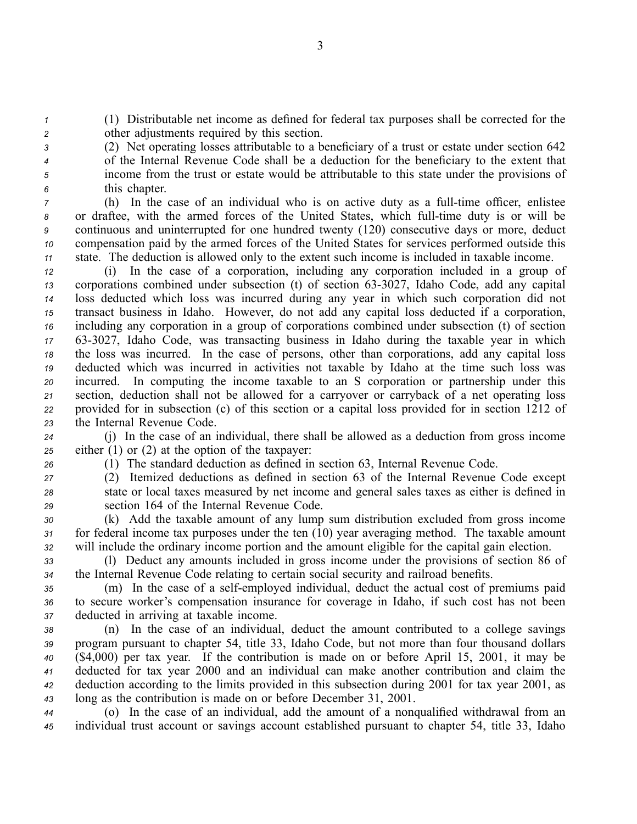*<sup>1</sup>* (1) Distributable net income as defined for federal tax purposes shall be corrected for the *<sup>2</sup>* other adjustments required by this section.

 (2) Net operating losses attributable to <sup>a</sup> beneficiary of <sup>a</sup> trust or estate under section 642 of the Internal Revenue Code shall be <sup>a</sup> deduction for the beneficiary to the extent that income from the trust or estate would be attributable to this state under the provisions of this chapter.

 (h) In the case of an individual who is on active duty as a full-time officer, enlistee 8 or draftee, with the armed forces of the United States, which full-time duty is or will be continuous and uninterrupted for one hundred twenty (120) consecutive days or more, deduct compensation paid by the armed forces of the United States for services performed outside this state. The deduction is allowed only to the extent such income is included in taxable income.

 (i) In the case of <sup>a</sup> corporation, including any corporation included in <sup>a</sup> group of corporations combined under subsection (t) of section 633027, Idaho Code, add any capital loss deducted which loss was incurred during any year in which such corporation did not transact business in Idaho. However, do not add any capital loss deducted if <sup>a</sup> corporation, including any corporation in <sup>a</sup> group of corporations combined under subsection (t) of section 17 63-3027, Idaho Code, was transacting business in Idaho during the taxable year in which the loss was incurred. In the case of persons, other than corporations, add any capital loss deducted which was incurred in activities not taxable by Idaho at the time such loss was incurred. In computing the income taxable to an S corporation or partnership under this section, deduction shall not be allowed for <sup>a</sup> carryover or carryback of <sup>a</sup> net operating loss provided for in subsection (c) of this section or <sup>a</sup> capital loss provided for in section 1212 of the Internal Revenue Code.

*<sup>24</sup>* (j) In the case of an individual, there shall be allowed as <sup>a</sup> deduction from gross income *<sup>25</sup>* either (1) or (2) at the option of the taxpayer:

*<sup>26</sup>* (1) The standard deduction as defined in section 63, Internal Revenue Code.

*<sup>27</sup>* (2) Itemized deductions as defined in section 63 of the Internal Revenue Code excep<sup>t</sup> *<sup>28</sup>* state or local taxes measured by net income and general sales taxes as either is defined in *<sup>29</sup>* section 164 of the Internal Revenue Code.

*<sup>30</sup>* (k) Add the taxable amount of any lump sum distribution excluded from gross income *<sup>31</sup>* for federal income tax purposes under the ten (10) year averaging method. The taxable amount *<sup>32</sup>* will include the ordinary income portion and the amount eligible for the capital gain election.

*<sup>33</sup>* (l) Deduct any amounts included in gross income under the provisions of section 86 of *<sup>34</sup>* the Internal Revenue Code relating to certain social security and railroad benefits.

*<sup>35</sup>* (m) In the case of <sup>a</sup> selfemployed individual, deduct the actual cost of premiums paid *<sup>36</sup>* to secure worker's compensation insurance for coverage in Idaho, if such cost has not been *<sup>37</sup>* deducted in arriving at taxable income.

 (n) In the case of an individual, deduct the amount contributed to <sup>a</sup> college savings program pursuan<sup>t</sup> to chapter 54, title 33, Idaho Code, but not more than four thousand dollars (\$4,000) per tax year. If the contribution is made on or before April 15, 2001, it may be deducted for tax year 2000 and an individual can make another contribution and claim the deduction according to the limits provided in this subsection during 2001 for tax year 2001, as long as the contribution is made on or before December 31, 2001.

*<sup>44</sup>* (o) In the case of an individual, add the amount of <sup>a</sup> nonqualified withdrawal from an *<sup>45</sup>* individual trust account or savings account established pursuan<sup>t</sup> to chapter 54, title 33, Idaho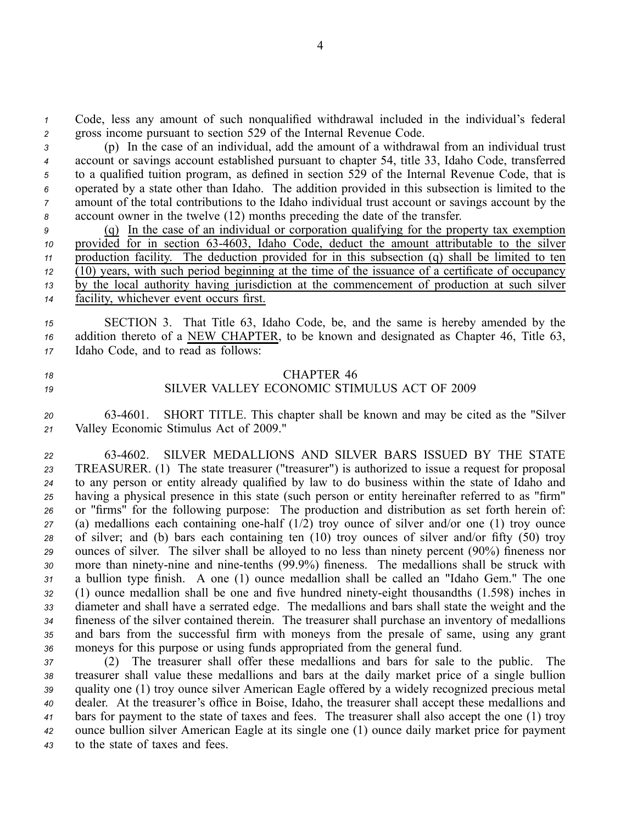*<sup>1</sup>* Code, less any amount of such nonqualified withdrawal included in the individual's federal *<sup>2</sup>* gross income pursuan<sup>t</sup> to section 529 of the Internal Revenue Code.

 (p) In the case of an individual, add the amount of <sup>a</sup> withdrawal from an individual trust account or savings account established pursuan<sup>t</sup> to chapter 54, title 33, Idaho Code, transferred to <sup>a</sup> qualified tuition program, as defined in section 529 of the Internal Revenue Code, that is operated by <sup>a</sup> state other than Idaho. The addition provided in this subsection is limited to the amount of the total contributions to the Idaho individual trust account or savings account by the account owner in the twelve (12) months preceding the date of the transfer.

 (q) In the case of an individual or corporation qualifying for the property tax exemption provided for in section 634603, Idaho Code, deduct the amount attributable to the silver production facility. The deduction provided for in this subsection (q) shall be limited to ten  $12\sqrt{(10)}$  years, with such period beginning at the time of the issuance of a certificate of occupancy by the local authority having jurisdiction at the commencement of production at such silver facility, whichever event occurs first.

*<sup>15</sup>* SECTION 3. That Title 63, Idaho Code, be, and the same is hereby amended by the *<sup>16</sup>* addition thereto of <sup>a</sup> NEW CHAPTER, to be known and designated as Chapter 46, Title 63, *<sup>17</sup>* Idaho Code, and to read as follows:

# *18* CHAPTER 46

# *19* SILVER VALLEY ECONOMIC STIMULUS ACT OF 2009

*<sup>20</sup>* 634601. SHORT TITLE. This chapter shall be known and may be cited as the "Silver *<sup>21</sup>* Valley Economic Stimulus Act of 2009."

 634602. SILVER MEDALLIONS AND SILVER BARS ISSUED BY THE STATE TREASURER. (1) The state treasurer ("treasurer") is authorized to issue <sup>a</sup> reques<sup>t</sup> for proposal to any person or entity already qualified by law to do business within the state of Idaho and having <sup>a</sup> physical presence in this state (such person or entity hereinafter referred to as "firm" or "firms" for the following purpose: The production and distribution as set forth herein of: (a) medallions each containing onehalf (1/2) troy ounce of silver and/or one (1) troy ounce of silver; and (b) bars each containing ten (10) troy ounces of silver and/or fifty (50) troy ounces of silver. The silver shall be alloyed to no less than ninety percen<sup>t</sup> (90%) fineness nor 30 more than ninety-nine and nine-tenths (99.9%) fineness. The medallions shall be struck with <sup>a</sup> bullion type finish. A one (1) ounce medallion shall be called an "Idaho Gem." The one 32 (1) ounce medallion shall be one and five hundred ninety-eight thousandths (1.598) inches in diameter and shall have <sup>a</sup> serrated edge. The medallions and bars shall state the weight and the fineness of the silver contained therein. The treasurer shall purchase an inventory of medallions and bars from the successful firm with moneys from the presale of same, using any gran<sup>t</sup> moneys for this purpose or using funds appropriated from the general fund.

 (2) The treasurer shall offer these medallions and bars for sale to the public. The treasurer shall value these medallions and bars at the daily market price of <sup>a</sup> single bullion quality one (1) troy ounce silver American Eagle offered by <sup>a</sup> widely recognized precious metal dealer. At the treasurer's office in Boise, Idaho, the treasurer shall accep<sup>t</sup> these medallions and bars for paymen<sup>t</sup> to the state of taxes and fees. The treasurer shall also accep<sup>t</sup> the one (1) troy ounce bullion silver American Eagle at its single one (1) ounce daily market price for paymen<sup>t</sup> to the state of taxes and fees.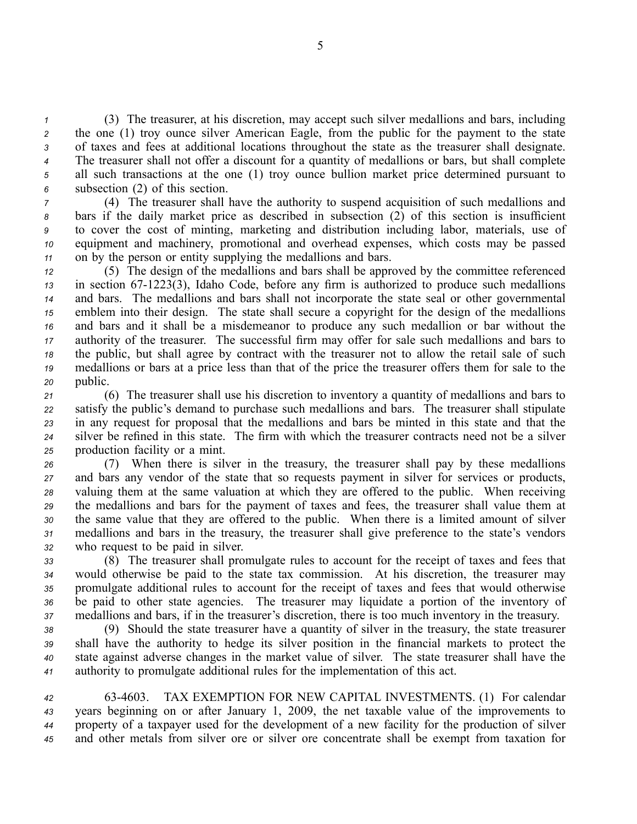(3) The treasurer, at his discretion, may accep<sup>t</sup> such silver medallions and bars, including the one (1) troy ounce silver American Eagle, from the public for the paymen<sup>t</sup> to the state of taxes and fees at additional locations throughout the state as the treasurer shall designate. The treasurer shall not offer <sup>a</sup> discount for <sup>a</sup> quantity of medallions or bars, but shall complete all such transactions at the one (1) troy ounce bullion market price determined pursuan<sup>t</sup> to subsection (2) of this section.

 (4) The treasurer shall have the authority to suspend acquisition of such medallions and bars if the daily market price as described in subsection (2) of this section is insufficient to cover the cost of minting, marketing and distribution including labor, materials, use of equipment and machinery, promotional and overhead expenses, which costs may be passed on by the person or entity supplying the medallions and bars.

 (5) The design of the medallions and bars shall be approved by the committee referenced in section 671223(3), Idaho Code, before any firm is authorized to produce such medallions and bars. The medallions and bars shall not incorporate the state seal or other governmental emblem into their design. The state shall secure <sup>a</sup> copyright for the design of the medallions and bars and it shall be <sup>a</sup> misdemeanor to produce any such medallion or bar without the authority of the treasurer. The successful firm may offer for sale such medallions and bars to the public, but shall agree by contract with the treasurer not to allow the retail sale of such medallions or bars at <sup>a</sup> price less than that of the price the treasurer offers them for sale to the *<sup>20</sup>* public.

 (6) The treasurer shall use his discretion to inventory <sup>a</sup> quantity of medallions and bars to satisfy the public's demand to purchase such medallions and bars. The treasurer shall stipulate in any reques<sup>t</sup> for proposal that the medallions and bars be minted in this state and that the silver be refined in this state. The firm with which the treasurer contracts need not be <sup>a</sup> silver production facility or <sup>a</sup> mint.

 (7) When there is silver in the treasury, the treasurer shall pay by these medallions and bars any vendor of the state that so requests paymen<sup>t</sup> in silver for services or products, valuing them at the same valuation at which they are offered to the public. When receiving the medallions and bars for the paymen<sup>t</sup> of taxes and fees, the treasurer shall value them at the same value that they are offered to the public. When there is <sup>a</sup> limited amount of silver medallions and bars in the treasury, the treasurer shall give preference to the state's vendors who reques<sup>t</sup> to be paid in silver.

 (8) The treasurer shall promulgate rules to account for the receipt of taxes and fees that would otherwise be paid to the state tax commission. At his discretion, the treasurer may promulgate additional rules to account for the receipt of taxes and fees that would otherwise be paid to other state agencies. The treasurer may liquidate <sup>a</sup> portion of the inventory of medallions and bars, if in the treasurer's discretion, there is too much inventory in the treasury.

 (9) Should the state treasurer have <sup>a</sup> quantity of silver in the treasury, the state treasurer shall have the authority to hedge its silver position in the financial markets to protect the state against adverse changes in the market value of silver. The state treasurer shall have the authority to promulgate additional rules for the implementation of this act.

 634603. TAX EXEMPTION FOR NEW CAPITAL INVESTMENTS. (1) For calendar years beginning on or after January 1, 2009, the net taxable value of the improvements to property of <sup>a</sup> taxpayer used for the development of <sup>a</sup> new facility for the production of silver and other metals from silver ore or silver ore concentrate shall be exemp<sup>t</sup> from taxation for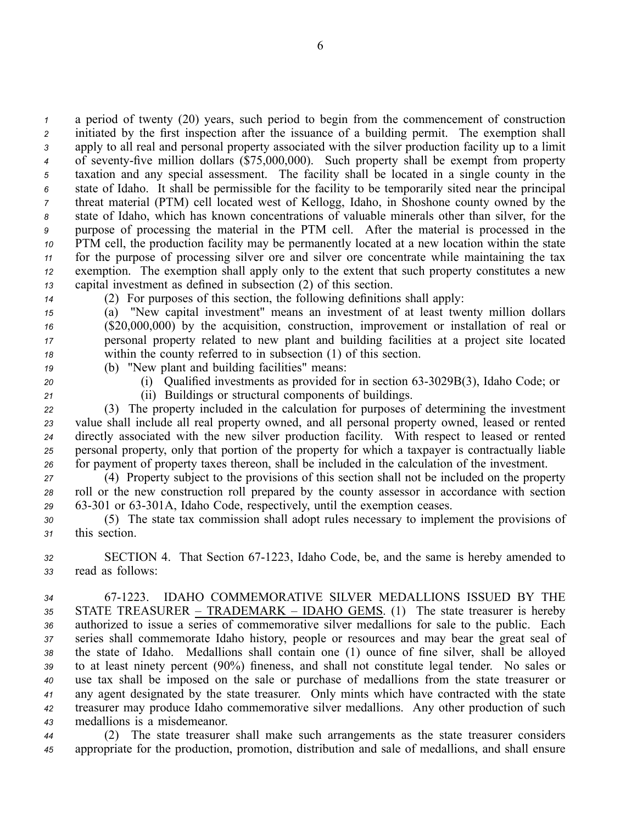<sup>a</sup> period of twenty (20) years, such period to begin from the commencement of construction initiated by the first inspection after the issuance of <sup>a</sup> building permit. The exemption shall apply to all real and personal property associated with the silver production facility up to <sup>a</sup> limit <sup>4</sup> of seventy-five million dollars (\$75,000,000). Such property shall be exempt from property taxation and any special assessment. The facility shall be located in <sup>a</sup> single county in the state of Idaho. It shall be permissible for the facility to be temporarily sited near the principal threat material (PTM) cell located west of Kellogg, Idaho, in Shoshone county owned by the state of Idaho, which has known concentrations of valuable minerals other than silver, for the purpose of processing the material in the PTM cell. After the material is processed in the PTM cell, the production facility may be permanently located at <sup>a</sup> new location within the state for the purpose of processing silver ore and silver ore concentrate while maintaining the tax exemption. The exemption shall apply only to the extent that such property constitutes <sup>a</sup> new capital investment as defined in subsection (2) of this section.

*<sup>14</sup>* (2) For purposes of this section, the following definitions shall apply:

 (a) "New capital investment" means an investment of at least twenty million dollars (\$20,000,000) by the acquisition, construction, improvement or installation of real or personal property related to new plant and building facilities at <sup>a</sup> project site located within the county referred to in subsection (1) of this section.

- 
- *<sup>19</sup>* (b) "New plant and building facilities" means:
- 

*<sup>20</sup>* (i) Qualified investments as provided for in section 633029B(3), Idaho Code; or

*<sup>21</sup>* (ii) Buildings or structural components of buildings.

 (3) The property included in the calculation for purposes of determining the investment value shall include all real property owned, and all personal property owned, leased or rented directly associated with the new silver production facility. With respec<sup>t</sup> to leased or rented personal property, only that portion of the property for which <sup>a</sup> taxpayer is contractually liable for paymen<sup>t</sup> of property taxes thereon, shall be included in the calculation of the investment.

*<sup>27</sup>* (4) Property subject to the provisions of this section shall not be included on the property *<sup>28</sup>* roll or the new construction roll prepared by the county assessor in accordance with section *<sup>29</sup>* 63301 or 63301A, Idaho Code, respectively, until the exemption ceases.

*<sup>30</sup>* (5) The state tax commission shall adopt rules necessary to implement the provisions of *<sup>31</sup>* this section.

*<sup>32</sup>* SECTION 4. That Section 671223, Idaho Code, be, and the same is hereby amended to *<sup>33</sup>* read as follows:

 671223. IDAHO COMMEMORATIVE SILVER MEDALLIONS ISSUED BY THE STATE TREASURER – TRADEMARK – IDAHO GEMS. (1) The state treasurer is hereby authorized to issue <sup>a</sup> series of commemorative silver medallions for sale to the public. Each series shall commemorate Idaho history, people or resources and may bear the grea<sup>t</sup> seal of the state of Idaho. Medallions shall contain one (1) ounce of fine silver, shall be alloyed to at least ninety percen<sup>t</sup> (90%) fineness, and shall not constitute legal tender. No sales or use tax shall be imposed on the sale or purchase of medallions from the state treasurer or any agen<sup>t</sup> designated by the state treasurer. Only mints which have contracted with the state treasurer may produce Idaho commemorative silver medallions. Any other production of such medallions is <sup>a</sup> misdemeanor.

*<sup>44</sup>* (2) The state treasurer shall make such arrangements as the state treasurer considers *<sup>45</sup>* appropriate for the production, promotion, distribution and sale of medallions, and shall ensure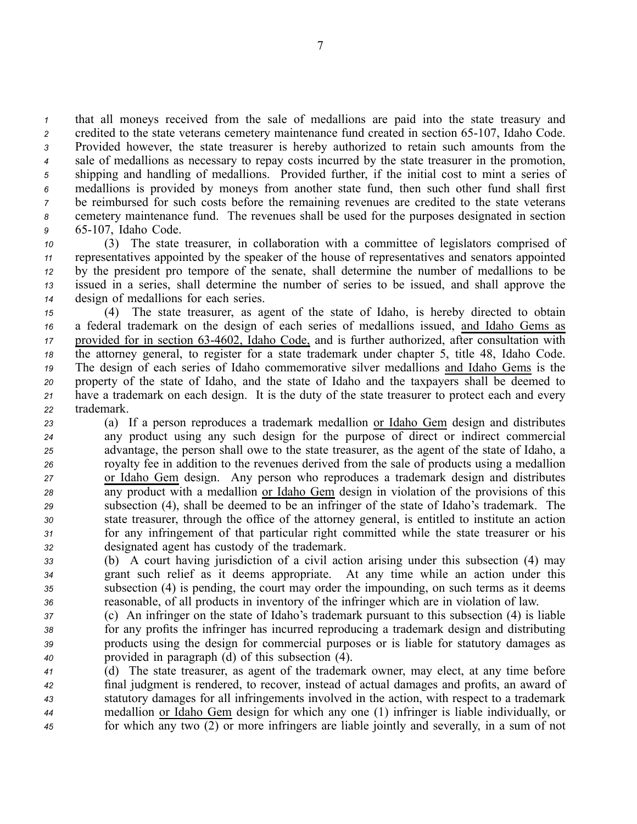that all moneys received from the sale of medallions are paid into the state treasury and 2 credited to the state veterans cemetery maintenance fund created in section 65-107, Idaho Code. Provided however, the state treasurer is hereby authorized to retain such amounts from the sale of medallions as necessary to repay costs incurred by the state treasurer in the promotion, shipping and handling of medallions. Provided further, if the initial cost to mint <sup>a</sup> series of medallions is provided by moneys from another state fund, then such other fund shall first be reimbursed for such costs before the remaining revenues are credited to the state veterans cemetery maintenance fund. The revenues shall be used for the purposes designated in section 65107, Idaho Code.

 (3) The state treasurer, in collaboration with <sup>a</sup> committee of legislators comprised of representatives appointed by the speaker of the house of representatives and senators appointed by the president pro tempore of the senate, shall determine the number of medallions to be issued in <sup>a</sup> series, shall determine the number of series to be issued, and shall approve the design of medallions for each series.

 (4) The state treasurer, as agen<sup>t</sup> of the state of Idaho, is hereby directed to obtain <sup>a</sup> federal trademark on the design of each series of medallions issued, and Idaho Gems as 17 provided for in section 63-4602, Idaho Code, and is further authorized, after consultation with the attorney general, to register for <sup>a</sup> state trademark under chapter 5, title 48, Idaho Code. The design of each series of Idaho commemorative silver medallions and Idaho Gems is the property of the state of Idaho, and the state of Idaho and the taxpayers shall be deemed to have <sup>a</sup> trademark on each design. It is the duty of the state treasurer to protect each and every trademark.

 (a) If <sup>a</sup> person reproduces <sup>a</sup> trademark medallion or Idaho Gem design and distributes any product using any such design for the purpose of direct or indirect commercial advantage, the person shall owe to the state treasurer, as the agen<sup>t</sup> of the state of Idaho, <sup>a</sup> royalty fee in addition to the revenues derived from the sale of products using <sup>a</sup> medallion or Idaho Gem design. Any person who reproduces <sup>a</sup> trademark design and distributes any product with <sup>a</sup> medallion or Idaho Gem design in violation of the provisions of this subsection (4), shall be deemed to be an infringer of the state of Idaho's trademark. The state treasurer, through the office of the attorney general, is entitled to institute an action for any infringement of that particular right committed while the state treasurer or his designated agen<sup>t</sup> has custody of the trademark.

 (b) A court having jurisdiction of <sup>a</sup> civil action arising under this subsection (4) may gran<sup>t</sup> such relief as it deems appropriate. At any time while an action under this subsection (4) is pending, the court may order the impounding, on such terms as it deems reasonable, of all products in inventory of the infringer which are in violation of law.

 (c) An infringer on the state of Idaho's trademark pursuan<sup>t</sup> to this subsection (4) is liable for any profits the infringer has incurred reproducing <sup>a</sup> trademark design and distributing products using the design for commercial purposes or is liable for statutory damages as provided in paragraph (d) of this subsection (4).

 (d) The state treasurer, as agen<sup>t</sup> of the trademark owner, may elect, at any time before final judgment is rendered, to recover, instead of actual damages and profits, an award of statutory damages for all infringements involved in the action, with respec<sup>t</sup> to <sup>a</sup> trademark medallion or Idaho Gem design for which any one (1) infringer is liable individually, or for which any two (2) or more infringers are liable jointly and severally, in <sup>a</sup> sum of not